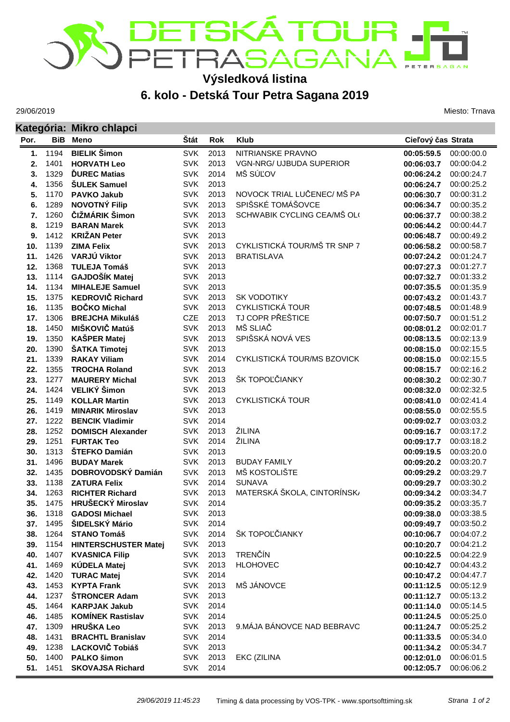

## **Výsledková listina**

**6. kolo - Detská Tour Petra Sagana 2019**

29/06/2019

Miesto: Trnava

|            |              | Kategória: Mikro chlapci              |                          |              |                              |                          |                          |  |  |
|------------|--------------|---------------------------------------|--------------------------|--------------|------------------------------|--------------------------|--------------------------|--|--|
| Por.       | <b>BiB</b>   | <b>Meno</b>                           | Štát                     | <b>Rok</b>   | <b>Klub</b>                  | Cieľový čas Strata       |                          |  |  |
| 1.         | 1194         | <b>BIELIK Šimon</b>                   | <b>SVK</b>               | 2013         | NITRIANSKE PRAVNO            | 00:05:59.5               | 00:00:00.0               |  |  |
| 2.         | 1401         | <b>HORVATH Leo</b>                    | <b>SVK</b>               | 2013         | VGN-NRG/ UJBUDA SUPERIOR     | 00:06:03.7               | 00:00:04.2               |  |  |
| 3.         | 1329         | <b>DUREC Matias</b>                   | <b>SVK</b>               | 2014         | MŠ SÚĽOV                     | 00:06:24.2               | 00:00:24.7               |  |  |
| 4.         | 1356         | <b>ŠULEK Samuel</b>                   | <b>SVK</b>               | 2013         |                              | 00:06:24.7               | 00:00:25.2               |  |  |
| 5.         | 1170         | <b>PAVKO Jakub</b>                    | <b>SVK</b>               | 2013         | NOVOCK TRIAL LUČENEC/ MŠ PA  | 00:06:30.7               | 00:00:31.2               |  |  |
| 6.         | 1289         | <b>NOVOTNÝ Filip</b>                  | <b>SVK</b>               | 2013         | SPIŠSKÉ TOMÁŠOVCE            | 00:06:34.7               | 00:00:35.2               |  |  |
| 7.         | 1260         | ČIŽMÁRIK Šimon                        | <b>SVK</b>               | 2013         | SCHWABIK CYCLING CEA/MŠ OL(  | 00:06:37.7               | 00:00:38.2               |  |  |
| 8.         | 1219         | <b>BARAN Marek</b>                    | <b>SVK</b>               | 2013         |                              | 00:06:44.2               | 00:00:44.7               |  |  |
| 9.         | 1412         | <b>KRIŽAN Peter</b>                   | <b>SVK</b>               | 2013         |                              | 00:06:48.7               | 00:00:49.2               |  |  |
| 10.        | 1139         | <b>ZIMA Felix</b>                     | <b>SVK</b>               | 2013         | CYKLISTICKÁ TOUR/MŠ TR SNP 7 | 00:06:58.2               | 00:00:58.7               |  |  |
| 11.        | 1426         | VARJÚ Viktor                          | <b>SVK</b>               | 2013         | <b>BRATISLAVA</b>            | 00:07:24.2               | 00:01:24.7               |  |  |
| 12.        | 1368         | <b>TULEJA Tomáš</b>                   | <b>SVK</b>               | 2013         |                              | 00:07:27.3               | 00:01:27.7               |  |  |
| 13.        | 1114         | GAJDOŠÍK Matej                        | <b>SVK</b>               | 2013         |                              | 00:07:32.7               | 00:01:33.2               |  |  |
| 14.        | 1134         | <b>MIHALEJE Samuel</b>                | <b>SVK</b>               | 2013         |                              | 00:07:35.5               | 00:01:35.9               |  |  |
| 15.        | 1375         | <b>KEDROVIČ Richard</b>               | <b>SVK</b>               | 2013         | <b>SK VODOTIKY</b>           | 00:07:43.2               | 00:01:43.7               |  |  |
| 16.        | 1135         | <b>BOČKO Michal</b>                   | <b>SVK</b>               | 2013         | <b>CYKLISTICKÁ TOUR</b>      | 00:07:48.5               | 00:01:48.9               |  |  |
| 17.        | 1306<br>1450 | <b>BREJCHA Mikuláš</b>                | CZE                      | 2013<br>2013 | TJ COPR PŘEŠTICE<br>MŠ SLIAČ | 00:07:50.7               | 00:01:51.2               |  |  |
| 18.        | 1350         | MIŠKOVIČ Matúš<br><b>KAŠPER Matej</b> | <b>SVK</b><br><b>SVK</b> | 2013         | SPIŠSKÁ NOVÁ VES             | 00:08:01.2               | 00:02:01.7               |  |  |
| 19.        | 1390         | ŠATKA Timotej                         | <b>SVK</b>               | 2013         |                              | 00:08:13.5<br>00:08:15.0 | 00:02:13.9               |  |  |
| 20.<br>21. | 1339         | <b>RAKAY Viliam</b>                   | <b>SVK</b>               | 2014         | CYKLISTICKÁ TOUR/MS BZOVICK  | 00:08:15.0               | 00:02:15.5<br>00:02:15.5 |  |  |
| 22.        | 1355         | <b>TROCHA Roland</b>                  | <b>SVK</b>               | 2013         |                              | 00:08:15.7               | 00:02:16.2               |  |  |
| 23.        | 1277         | <b>MAURERY Michal</b>                 | <b>SVK</b>               | 2013         | ŠK TOPOĽČIANKY               | 00:08:30.2               | 00:02:30.7               |  |  |
| 24.        | 1424         | VELIKÝ Šimon                          | <b>SVK</b>               | 2013         |                              | 00:08:32.0               | 00:02:32.5               |  |  |
| 25.        | 1149         | <b>KOLLAR Martin</b>                  | <b>SVK</b>               | 2013         | <b>CYKLISTICKÁ TOUR</b>      | 00:08:41.0               | 00:02:41.4               |  |  |
| 26.        | 1419         | <b>MINARIK Miroslav</b>               | <b>SVK</b>               | 2013         |                              | 00:08:55.0               | 00:02:55.5               |  |  |
| 27.        | 1222         | <b>BENCIK Vladimir</b>                | <b>SVK</b>               | 2014         |                              | 00:09:02.7               | 00:03:03.2               |  |  |
| 28.        | 1252         | <b>DOMISCH Alexander</b>              | <b>SVK</b>               | 2013         | ŽILINA                       | 00:09:16.7               | 00:03:17.2               |  |  |
| 29.        | 1251         | <b>FURTAK Teo</b>                     | <b>SVK</b>               | 2014         | ŽILINA                       | 00:09:17.7               | 00:03:18.2               |  |  |
| 30.        | 1313         | ŠTEFKO Damián                         | <b>SVK</b>               | 2013         |                              | 00:09:19.5               | 00:03:20.0               |  |  |
| 31.        | 1496         | <b>BUDAY Marek</b>                    | <b>SVK</b>               | 2013         | <b>BUDAY FAMILY</b>          | 00:09:20.2               | 00:03:20.7               |  |  |
| 32.        | 1435         | DOBROVODSKÝ Damián                    | <b>SVK</b>               | 2013         | MŠ KOSTOLIŠTE                | 00:09:29.2               | 00:03:29.7               |  |  |
| 33.        | 1138         | <b>ZATURA Felix</b>                   | <b>SVK</b>               | 2014         | <b>SUNAVA</b>                | 00:09:29.7               | 00:03:30.2               |  |  |
| 34.        | 1263         | <b>RICHTER Richard</b>                | <b>SVK</b>               | 2013         | MATERSKÁ ŠKOLA, CINTORÍNSK/  | 00:09:34.2               | 00:03:34.7               |  |  |
| 35.        | 1475         | HRUŠECKÝ Miroslav                     | <b>SVK</b>               | 2014         |                              | 00:09:35.2               | 00:03:35.7               |  |  |
| 36.        | 1318         | <b>GADOSI Michael</b>                 | <b>SVK</b>               | 2013         |                              | 00:09:38.0               | 00:03:38.5               |  |  |
| 37.        | 1495         | ŠIDELSKÝ Mário                        | <b>SVK</b>               | 2014         |                              | 00:09:49.7               | 00:03:50.2               |  |  |
| 38.        | 1264         | <b>STANO Tomáš</b>                    | <b>SVK</b>               | 2014         | ŠK TOPOĽČIANKY               | 00:10:06.7               | 00:04:07.2               |  |  |
| 39.        | 1154         | <b>HINTERSCHUSTER Matej</b>           | <b>SVK</b>               | 2013         |                              | 00:10:20.7               | 00:04:21.2               |  |  |
| 40.        | 1407         | <b>KVASNICA Filip</b>                 | <b>SVK</b>               | 2013         | <b>TRENČÍN</b>               | 00:10:22.5               | 00:04:22.9               |  |  |
| 41.        | 1469         | KÚDELA Matej                          | <b>SVK</b>               | 2013         | <b>HLOHOVEC</b>              | 00:10:42.7               | 00:04:43.2               |  |  |
| 42.        | 1420         | <b>TURAC Matej</b>                    | <b>SVK</b>               | 2014         |                              | 00:10:47.2               | 00:04:47.7               |  |  |
| 43.        | 1453         | <b>KYPTA Frank</b>                    | <b>SVK</b>               | 2013         | MŠ JÁNOVCE                   | 00:11:12.5               | 00:05:12.9               |  |  |
| 44.        | 1237         | <b>ŠTRONCER Adam</b>                  | <b>SVK</b>               | 2013         |                              | 00:11:12.7               | 00:05:13.2               |  |  |
| 45.        | 1464         | <b>KARPJAK Jakub</b>                  | <b>SVK</b>               | 2014         |                              | 00:11:14.0               | 00:05:14.5               |  |  |
| 46.        | 1485         | <b>KOMÍNEK Rastislav</b>              | <b>SVK</b>               | 2014         |                              | 00:11:24.5               | 00:05:25.0               |  |  |
| 47.        | 1309         | <b>HRUŠKA Leo</b>                     | <b>SVK</b>               | 2013         | 9. MÁJA BÁNOVCE NAD BEBRAVO  | 00:11:24.7               | 00:05:25.2               |  |  |
| 48.        | 1431         | <b>BRACHTL Branislav</b>              | <b>SVK</b>               | 2014         |                              | 00:11:33.5               | 00:05:34.0               |  |  |
| 49.        | 1238         | LACKOVIČ Tobiáš                       | <b>SVK</b>               | 2013         |                              | 00:11:34.2               | 00:05:34.7               |  |  |
| 50.        | 1400         | PALKO šimon                           | <b>SVK</b>               | 2013         | EKC (ZILINA                  | 00:12:01.0               | 00:06:01.5               |  |  |
| 51.        | 1451         | <b>SKOVAJSA Richard</b>               | <b>SVK</b>               | 2014         |                              | 00:12:05.7               | 00:06:06.2               |  |  |